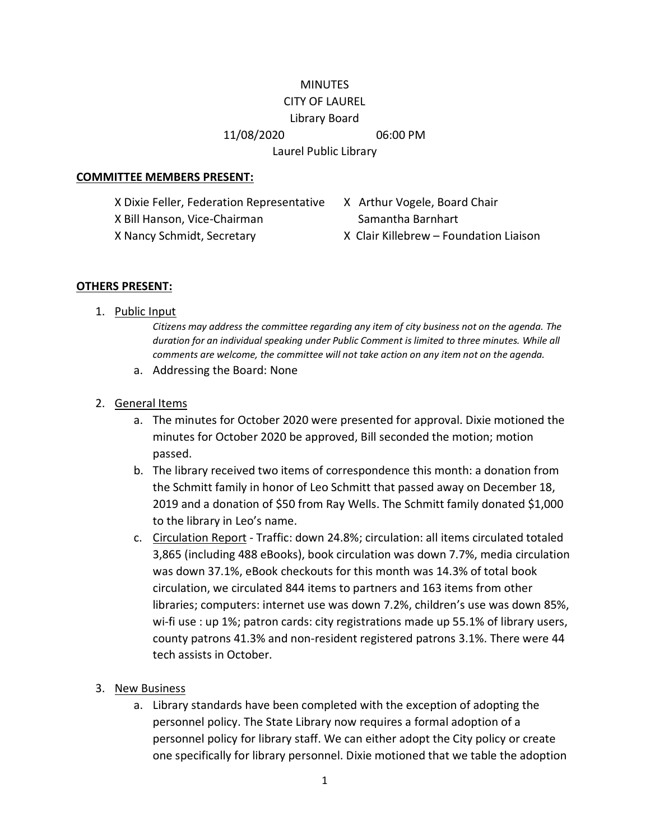## **MINUTES** CITY OF LAUREL

#### Library Board

11/08/2020 06:00 PM

Laurel Public Library

#### **COMMITTEE MEMBERS PRESENT:**

X Dixie Feller, Federation Representative X Arthur Vogele, Board Chair X Bill Hanson, Vice-Chairman Samantha Barnhart X Nancy Schmidt, Secretary X Clair Killebrew – Foundation Liaison

#### **OTHERS PRESENT:**

1. Public Input

*Citizens may address the committee regarding any item of city business not on the agenda. The duration for an individual speaking under Public Comment is limited to three minutes. While all comments are welcome, the committee will not take action on any item not on the agenda.*

a. Addressing the Board: None

## 2. General Items

- a. The minutes for October 2020 were presented for approval. Dixie motioned the minutes for October 2020 be approved, Bill seconded the motion; motion passed.
- b. The library received two items of correspondence this month: a donation from the Schmitt family in honor of Leo Schmitt that passed away on December 18, 2019 and a donation of \$50 from Ray Wells. The Schmitt family donated \$1,000 to the library in Leo's name.
- c. Circulation Report Traffic: down 24.8%; circulation: all items circulated totaled 3,865 (including 488 eBooks), book circulation was down 7.7%, media circulation was down 37.1%, eBook checkouts for this month was 14.3% of total book circulation, we circulated 844 items to partners and 163 items from other libraries; computers: internet use was down 7.2%, children's use was down 85%, wi-fi use : up 1%; patron cards: city registrations made up 55.1% of library users, county patrons 41.3% and non-resident registered patrons 3.1%. There were 44 tech assists in October.
- 3. New Business
	- a. Library standards have been completed with the exception of adopting the personnel policy. The State Library now requires a formal adoption of a personnel policy for library staff. We can either adopt the City policy or create one specifically for library personnel. Dixie motioned that we table the adoption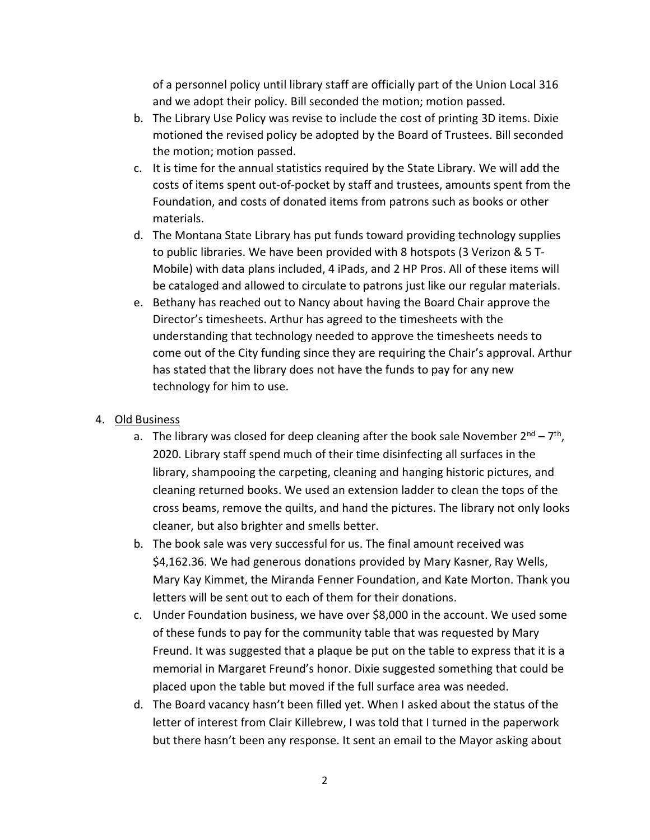of a personnel policy until library staff are officially part of the Union Local 316 and we adopt their policy. Bill seconded the motion; motion passed.

- b. The Library Use Policy was revise to include the cost of printing 3D items. Dixie motioned the revised policy be adopted by the Board of Trustees. Bill seconded the motion; motion passed.
- c. It is time for the annual statistics required by the State Library. We will add the costs of items spent out-of-pocket by staff and trustees, amounts spent from the Foundation, and costs of donated items from patrons such as books or other materials.
- d. The Montana State Library has put funds toward providing technology supplies to public libraries. We have been provided with 8 hotspots (3 Verizon & 5 T-Mobile) with data plans included, 4 iPads, and 2 HP Pros. All of these items will be cataloged and allowed to circulate to patrons just like our regular materials.
- e. Bethany has reached out to Nancy about having the Board Chair approve the Director's timesheets. Arthur has agreed to the timesheets with the understanding that technology needed to approve the timesheets needs to come out of the City funding since they are requiring the Chair's approval. Arthur has stated that the library does not have the funds to pay for any new technology for him to use.

# 4. Old Business

- a. The library was closed for deep cleaning after the book sale November  $2^{nd} 7^{th}$ , 2020. Library staff spend much of their time disinfecting all surfaces in the library, shampooing the carpeting, cleaning and hanging historic pictures, and cleaning returned books. We used an extension ladder to clean the tops of the cross beams, remove the quilts, and hand the pictures. The library not only looks cleaner, but also brighter and smells better.
- b. The book sale was very successful for us. The final amount received was \$4,162.36. We had generous donations provided by Mary Kasner, Ray Wells, Mary Kay Kimmet, the Miranda Fenner Foundation, and Kate Morton. Thank you letters will be sent out to each of them for their donations.
- c. Under Foundation business, we have over \$8,000 in the account. We used some of these funds to pay for the community table that was requested by Mary Freund. It was suggested that a plaque be put on the table to express that it is a memorial in Margaret Freund's honor. Dixie suggested something that could be placed upon the table but moved if the full surface area was needed.
- d. The Board vacancy hasn't been filled yet. When I asked about the status of the letter of interest from Clair Killebrew, I was told that I turned in the paperwork but there hasn't been any response. It sent an email to the Mayor asking about